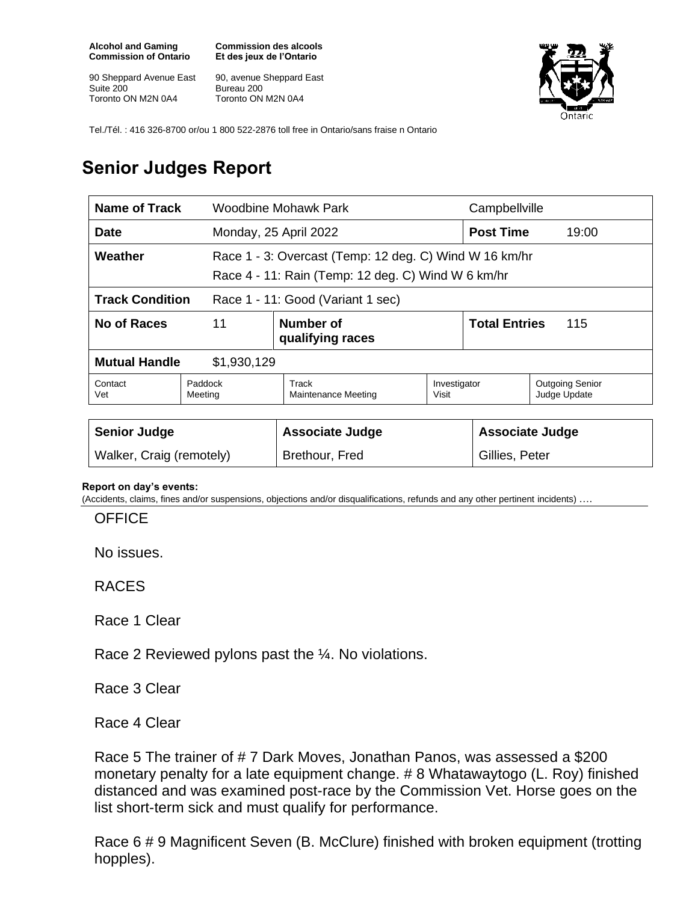**Alcohol and Gaming Commission of Ontario**

90 Sheppard Avenue East Suite 200 Toronto ON M2N 0A4

**Commission des alcools Et des jeux de l'Ontario**

90, avenue Sheppard East Bureau 200 Toronto ON M2N 0A4



Tel./Tél. : 416 326-8700 or/ou 1 800 522-2876 toll free in Ontario/sans fraise n Ontario

## **Senior Judges Report**

| Name of Track                                               |                    | Woodbine Mohawk Park                                                                                         |                             | Campbellville          |                                        |  |
|-------------------------------------------------------------|--------------------|--------------------------------------------------------------------------------------------------------------|-----------------------------|------------------------|----------------------------------------|--|
| <b>Date</b>                                                 |                    | Monday, 25 April 2022                                                                                        |                             | <b>Post Time</b>       | 19:00                                  |  |
| Weather                                                     |                    | Race 1 - 3: Overcast (Temp: 12 deg. C) Wind W 16 km/hr<br>Race 4 - 11: Rain (Temp: 12 deg. C) Wind W 6 km/hr |                             |                        |                                        |  |
| <b>Track Condition</b><br>Race 1 - 11: Good (Variant 1 sec) |                    |                                                                                                              |                             |                        |                                        |  |
| No of Races                                                 | 11                 | Number of<br>qualifying races                                                                                | <b>Total Entries</b><br>115 |                        |                                        |  |
| <b>Mutual Handle</b><br>\$1,930,129                         |                    |                                                                                                              |                             |                        |                                        |  |
| Contact<br>Vet                                              | Paddock<br>Meeting | Track<br>Maintenance Meeting                                                                                 | Investigator<br>Visit       |                        | <b>Outgoing Senior</b><br>Judge Update |  |
|                                                             |                    |                                                                                                              |                             |                        |                                        |  |
| <b>Senior Judge</b>                                         |                    | <b>Associate Judge</b>                                                                                       |                             | <b>Associate Judge</b> |                                        |  |
| Walker, Craig (remotely)                                    |                    | Brethour, Fred                                                                                               |                             | Gillies, Peter         |                                        |  |

## **Report on day's events:**

(Accidents, claims, fines and/or suspensions, objections and/or disqualifications, refunds and any other pertinent incidents) ….

**OFFICE** 

No issues.

RACES

Race 1 Clear

Race 2 Reviewed pylons past the ¼. No violations.

Race 3 Clear

Race 4 Clear

Race 5 The trainer of # 7 Dark Moves, Jonathan Panos, was assessed a \$200 monetary penalty for a late equipment change. # 8 Whatawaytogo (L. Roy) finished distanced and was examined post-race by the Commission Vet. Horse goes on the list short-term sick and must qualify for performance.

Race 6 # 9 Magnificent Seven (B. McClure) finished with broken equipment (trotting hopples).